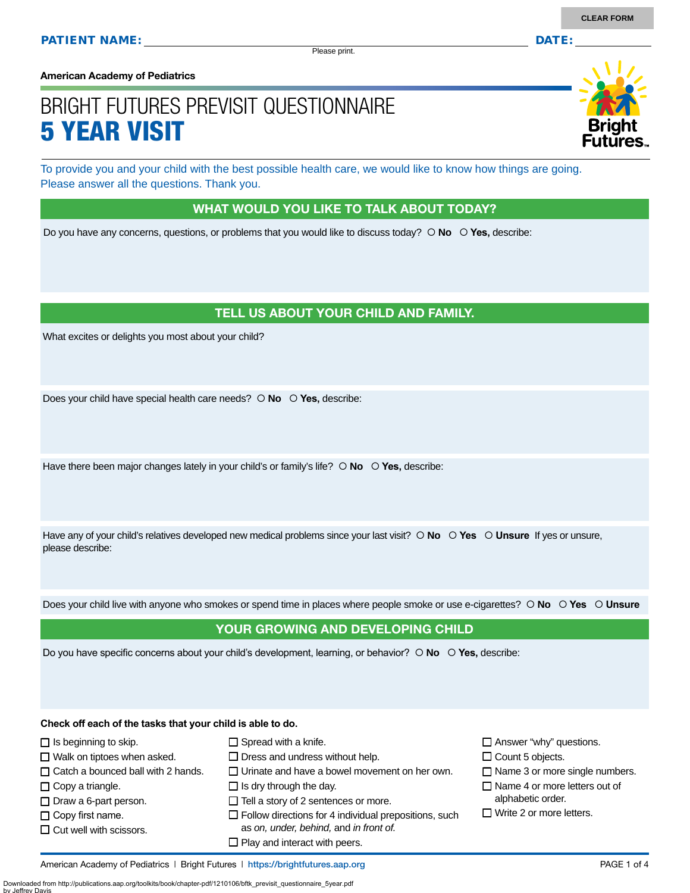Please print.

**American Academy of Pediatrics**

# BRIGHT FUTURES PREVISIT QUESTIONNAIRE 5 YEAR VISIT

To provide you and your child with the best possible health care, we would like to know how things are going. Please answer all the questions. Thank you.

## WHAT WOULD YOU LIKE TO TALK ABOUT TODAY?

Do you have any concerns, questions, or problems that you would like to discuss today?  $\circ$  **No**  $\circ$  **Yes**, describe:

## TELL US ABOUT YOUR CHILD AND FAMILY.

What excites or delights you most about your child?

Does your child have special health care needs?  $\circ$  **No**  $\circ$  **Yes**, describe:

Have there been major changes lately in your child's or family's life?  $\circ$  **No**  $\circ$  **Yes**, describe:

Have any of your child's relatives developed new medical problems since your last visit?  $\circ$  **No**  $\circ$  **Yes**  $\circ$  **Unsure** If yes or unsure, please describe:

Does your child live with anyone who smokes or spend time in places where people smoke or use e-cigarettes?  **No Yes Unsure**

## YOUR GROWING AND DEVELOPING CHILD

Do you have specific concerns about your child's development, learning, or behavior?  $\circ$  **No**  $\circ$  **Yes**, describe:

**Check off each of the tasks that your child is able to do.**

 $\Box$  Is beginning to skip.  $\Box$  Walk on tiptoes when asked.  $\Box$  Catch a bounced ball with 2 hands.

- $\Box$  Copy a triangle.
- $\Box$  Draw a 6-part person.
- $\Box$  Copy first name.

by Jeffrey Davis

 $\Box$  Cut well with scissors.

- $\square$  Spread with a knife.
- $\square$  Dress and undress without help.
- $\square$  Urinate and have a bowel movement on her own.
- $\Box$  Is dry through the day.
- $\Box$  Tell a story of 2 sentences or more.
- $\square$  Follow directions for 4 individual prepositions, such as *on, under, behind,* and *in front of.*
- $\square$  Play and interact with peers.

 $\square$  Answer "why" questions.

- $\Box$  Count 5 objects.
- $\Box$  Name 3 or more single numbers.
- $\Box$  Name 4 or more letters out of alphabetic order.
- $\Box$  Write 2 or more letters.

Downloaded from http://publications.aap.org/toolkits/book/chapter-pdf/1210106/bftk\_previsit\_questionnaire\_5year.pdf

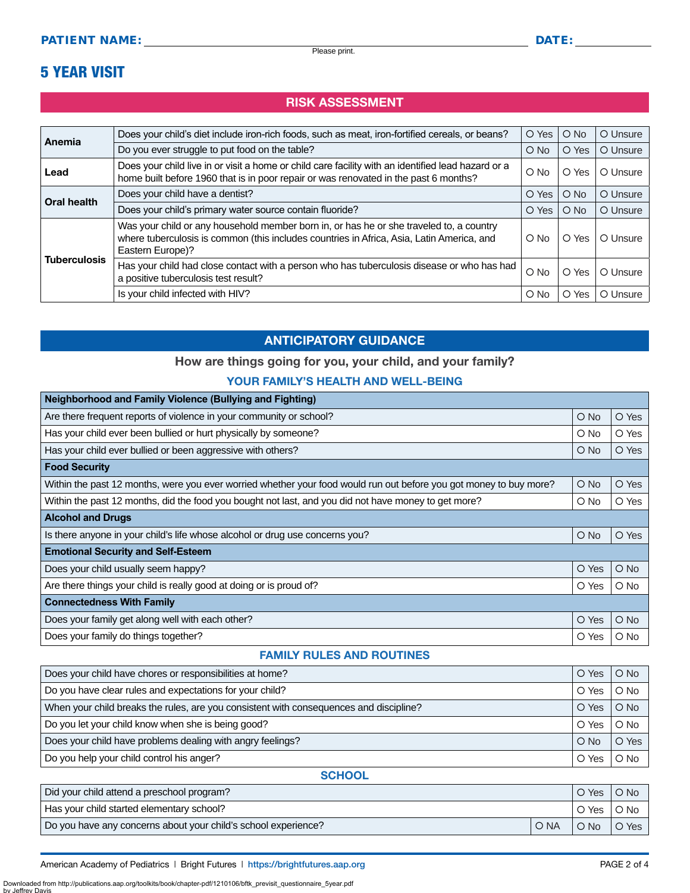## 5 YEAR VISIT

## RISK ASSESSMENT

| Anemia              | Does your child's diet include iron-rich foods, such as meat, iron-fortified cereals, or beans?                                                                                                          | O Yes         | $O$ No   | O Unsure |
|---------------------|----------------------------------------------------------------------------------------------------------------------------------------------------------------------------------------------------------|---------------|----------|----------|
|                     | Do you ever struggle to put food on the table?                                                                                                                                                           | $O$ No        | O Yes    | O Unsure |
| Lead                | Does your child live in or visit a home or child care facility with an identified lead hazard or a<br>home built before 1960 that is in poor repair or was renovated in the past 6 months?               | $O$ No        | O Yes    | O Unsure |
| Oral health         | Does your child have a dentist?                                                                                                                                                                          | O Yes         | $O$ No   | O Unsure |
|                     | Does your child's primary water source contain fluoride?                                                                                                                                                 | O Yes         | $O$ No   | O Unsure |
| <b>Tuberculosis</b> | Was your child or any household member born in, or has he or she traveled to, a country<br>where tuberculosis is common (this includes countries in Africa, Asia, Latin America, and<br>Eastern Europe)? | $\circ$ No    | O Yes    | O Unsure |
|                     | Has your child had close contact with a person who has tuberculosis disease or who has had<br>a positive tuberculosis test result?                                                                       | $\bigcirc$ No | O Yes    | O Unsure |
|                     | Is your child infected with HIV?                                                                                                                                                                         | $\circ$ No    | Yes<br>O | O Unsure |

#### ANTICIPATORY GUIDANCE

#### How are things going for you, your child, and your family?

#### YOUR FAMILY'S HEALTH AND WELL-BEING

| O No                                      | O Yes      |  |  |  |
|-------------------------------------------|------------|--|--|--|
| $\circ$ No                                | O Yes      |  |  |  |
| $\bigcirc$ No                             | O Yes      |  |  |  |
|                                           |            |  |  |  |
| $\bigcirc$ No                             | O Yes      |  |  |  |
| $\circ$ No                                | O Yes      |  |  |  |
|                                           |            |  |  |  |
| $O$ No                                    | O Yes      |  |  |  |
| <b>Emotional Security and Self-Esteem</b> |            |  |  |  |
| O Yes                                     | $O$ No     |  |  |  |
| O Yes                                     | $\circ$ No |  |  |  |
|                                           |            |  |  |  |
| O Yes                                     | $O$ No     |  |  |  |
| O Yes                                     | $\circ$ No |  |  |  |
|                                           |            |  |  |  |

#### FAMILY RULES AND ROUTINES

| Does your child have chores or responsibilities at home?                               | O Yes  | $O$ No |
|----------------------------------------------------------------------------------------|--------|--------|
| Do you have clear rules and expectations for your child?                               | O Yes  | $O$ No |
| When your child breaks the rules, are you consistent with consequences and discipline? | O Yes  | $O$ No |
| Do you let your child know when she is being good?                                     | O Yes  | $O$ No |
| Does your child have problems dealing with angry feelings?                             | $O$ No | O Yes  |
| Do you help your child control his anger?                                              | O Yes  | O No   |

#### **SCHOOL**

| Did your child attend a preschool program?                     |      | O Yes  | $O$ No |
|----------------------------------------------------------------|------|--------|--------|
| Has your child started elementary school?                      |      | O Yes  | O No   |
| Do you have any concerns about your child's school experience? | O NA | $O$ No | O Yes  |

American Academy of Pediatrics | Bright Futures | https:/[/brightfutures.aap.org](https://brightfutures.aap.org/Pages/default.aspx) | Namerican Academy of PAGE 2 of 4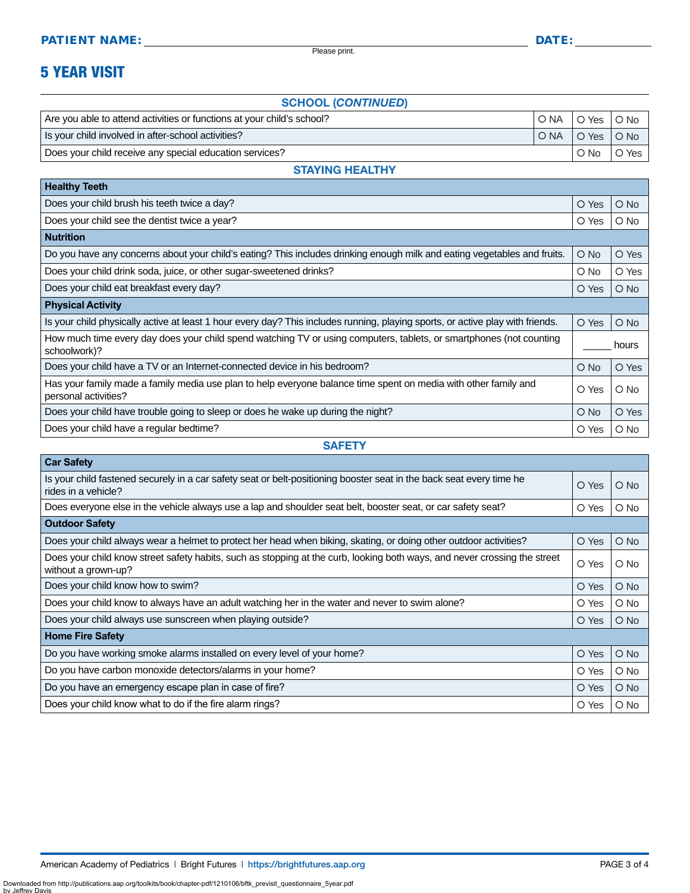Please print.

## 5 YEAR VISIT

#### SCHOOL (*CONTINUED*)

| Are you able to attend activities or functions at your child's school? | ' O NA | O Yes O No                                       |       |
|------------------------------------------------------------------------|--------|--------------------------------------------------|-------|
| Is your child involved in after-school activities?                     | O NA   | $\overline{) \circ \text{Yes} \circ \text{No} }$ |       |
| Does your child receive any special education services?                |        | $\circ$ No                                       | O Yes |

#### STAYING HEALTHY

| O Yes         | $\bigcirc$ No |
|---------------|---------------|
| O Yes         | $\circ$ No    |
|               |               |
| $\bigcirc$ No | O Yes         |
| $\circ$ No    | O Yes         |
| O Yes         | $\bigcirc$ No |
|               |               |
| O Yes         | $\bigcirc$ No |
|               | hours         |
| $\circ$ No    | O Yes         |
| O Yes         | $O$ No        |
| $\circ$ No    | O Yes         |
| O Yes         | $\circ$ No    |
|               |               |

**SAFETY** 

| <b>Car Safety</b>                                                                                                                                |       |               |  |
|--------------------------------------------------------------------------------------------------------------------------------------------------|-------|---------------|--|
| Is your child fastened securely in a car safety seat or belt-positioning booster seat in the back seat every time he<br>rides in a vehicle?      | O Yes | $\bigcirc$ No |  |
| Does everyone else in the vehicle always use a lap and shoulder seat belt, booster seat, or car safety seat?                                     | O Yes | $\bigcirc$ No |  |
| <b>Outdoor Safety</b>                                                                                                                            |       |               |  |
| Does your child always wear a helmet to protect her head when biking, skating, or doing other outdoor activities?                                | O Yes | $\bigcirc$ No |  |
| Does your child know street safety habits, such as stopping at the curb, looking both ways, and never crossing the street<br>without a grown-up? | O Yes | $\circ$ No    |  |
| Does your child know how to swim?                                                                                                                | O Yes | $\bigcirc$ No |  |
| Does your child know to always have an adult watching her in the water and never to swim alone?                                                  | O Yes | $\circ$ No    |  |
| Does your child always use sunscreen when playing outside?                                                                                       | O Yes | $\bigcirc$ No |  |
| <b>Home Fire Safety</b>                                                                                                                          |       |               |  |
| Do you have working smoke alarms installed on every level of your home?                                                                          | O Yes | $\bigcirc$ No |  |
| Do you have carbon monoxide detectors/alarms in your home?                                                                                       | O Yes | $\circ$ No    |  |
| Do you have an emergency escape plan in case of fire?                                                                                            | O Yes | $\bigcirc$ No |  |
| Does your child know what to do if the fire alarm rings?                                                                                         | O Yes | $\bigcirc$ No |  |